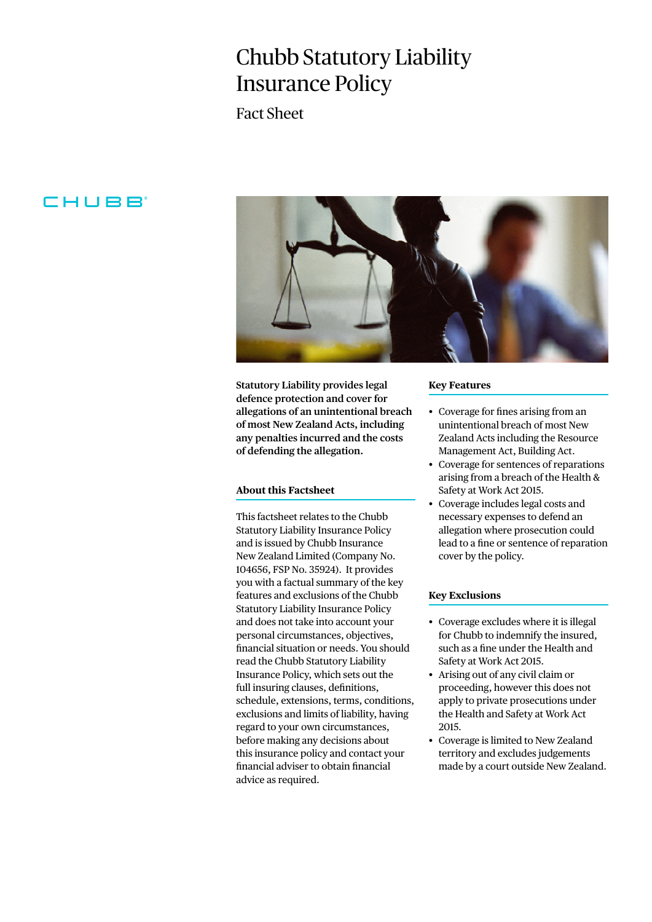# Chubb Statutory Liability Insurance Policy

Fact Sheet

# CHUBB



**Statutory Liability provides legal defence protection and cover for allegations of an unintentional breach of most New Zealand Acts, including any penalties incurred and the costs of defending the allegation.**

# **About this Factsheet**

This factsheet relates to the Chubb Statutory Liability Insurance Policy and is issued by Chubb Insurance New Zealand Limited (Company No. 104656, FSP No. 35924). It provides you with a factual summary of the key features and exclusions of the Chubb Statutory Liability Insurance Policy and does not take into account your personal circumstances, objectives, financial situation or needs. You should read the Chubb Statutory Liability Insurance Policy, which sets out the full insuring clauses, definitions, schedule, extensions, terms, conditions, exclusions and limits of liability, having regard to your own circumstances, before making any decisions about this insurance policy and contact your financial adviser to obtain financial advice as required.

#### **Key Features**

- Coverage for fines arising from an unintentional breach of most New Zealand Acts including the Resource Management Act, Building Act.
- Coverage for sentences of reparations arising from a breach of the Health & Safety at Work Act 2015.
- Coverage includes legal costs and necessary expenses to defend an allegation where prosecution could lead to a fine or sentence of reparation cover by the policy.

### **Key Exclusions**

- Coverage excludes where it is illegal for Chubb to indemnify the insured, such as a fine under the Health and Safety at Work Act 2015.
- Arising out of any civil claim or proceeding, however this does not apply to private prosecutions under the Health and Safety at Work Act 2015.
- Coverage is limited to New Zealand territory and excludes judgements made by a court outside New Zealand.